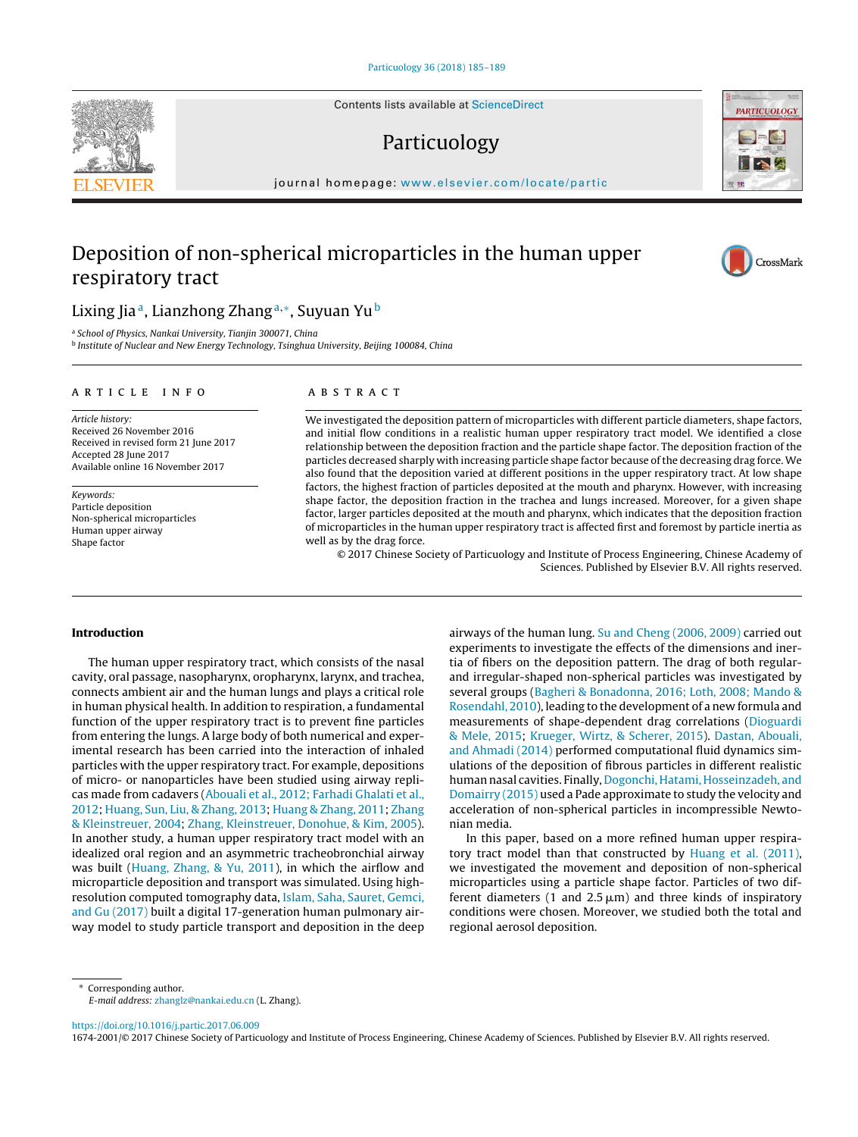Contents lists available at [ScienceDirect](http://www.sciencedirect.com/science/journal/16742001)

## Particuology

iournal homepage: [www.elsevier.com/locate/partic](http://www.elsevier.com/locate/partic)

## Deposition of non-spherical microparticles in the human upper respiratory tract

### Lixing Jia<sup>a</sup>, Lianzhong Zhang<sup>a,∗</sup>, Suyuan Yu<sup>b</sup>

<sup>a</sup> School of Physics, Nankai University, Tianjin 300071, China

<sup>b</sup> Institute of Nuclear and New Energy Technology, Tsinghua University, Beijing 100084, China

#### a r t i c l e i n f o

Article history: Received 26 November 2016 Received in revised form 21 June 2017 Accepted 28 June 2017 Available online 16 November 2017

Keywords: Particle deposition Non-spherical microparticles Human upper airway Shape factor

#### A B S T R A C T

We investigated the deposition pattern of microparticles with different particle diameters, shape factors, and initial flow conditions in a realistic human upper respiratory tract model. We identified a close relationship between the deposition fraction and the particle shape factor. The deposition fraction of the particles decreased sharply with increasing particle shape factor because of the decreasing drag force. We also found that the deposition varied at different positions in the upper respiratory tract. At low shape factors, the highest fraction of particles deposited at the mouth and pharynx. However, with increasing shape factor, the deposition fraction in the trachea and lungs increased. Moreover, for a given shape factor, larger particles deposited at the mouth and pharynx, which indicates that the deposition fraction of microparticles in the human upper respiratory tract is affected first and foremost by particle inertia as well as by the drag force.

© 2017 Chinese Society of Particuology and Institute of Process Engineering, Chinese Academy of Sciences. Published by Elsevier B.V. All rights reserved.

#### **Introduction**

The human upper respiratory tract, which consists of the nasal cavity, oral passage, nasopharynx, oropharynx, larynx, and trachea, connects ambient air and the human lungs and plays a critical role in human physical health. In addition to respiration, a fundamental function of the upper respiratory tract is to prevent fine particles from entering the lungs. A large body of both numerical and experimental research has been carried into the interaction of inhaled particles with the upper respiratory tract. For example, depositions of micro- or nanoparticles have been studied using airway replicas made from cadavers [\(Abouali](#page--1-0) et [al.,](#page--1-0) [2012;](#page--1-0) [Farhadi](#page--1-0) [Ghalati](#page--1-0) et [al.,](#page--1-0) [2012;](#page--1-0) [Huang,](#page--1-0) [Sun,](#page--1-0) [Liu,](#page--1-0) [&](#page--1-0) [Zhang,](#page--1-0) [2013;](#page--1-0) [Huang](#page--1-0) [&](#page--1-0) [Zhang,](#page--1-0) [2011;](#page--1-0) [Zhang](#page--1-0) [&](#page--1-0) [Kleinstreuer,](#page--1-0) [2004;](#page--1-0) [Zhang,](#page--1-0) [Kleinstreuer,](#page--1-0) [Donohue,](#page--1-0) [&](#page--1-0) [Kim,](#page--1-0) [2005\).](#page--1-0) In another study, a human upper respiratory tract model with an idealized oral region and an asymmetric tracheobronchial airway was built [\(Huang,](#page--1-0) [Zhang,](#page--1-0) [&](#page--1-0) [Yu,](#page--1-0) [2011\),](#page--1-0) in which the airflow and microparticle deposition and transport was simulated. Using highresolution computed tomography data, [Islam,](#page--1-0) [Saha,](#page--1-0) [Sauret,](#page--1-0) [Gemci,](#page--1-0) [and](#page--1-0) [Gu](#page--1-0) [\(2017\)](#page--1-0) built a digital 17-generation human pulmonary airway model to study particle transport and deposition in the deep

airways of the human lung. [Su](#page--1-0) [and](#page--1-0) [Cheng](#page--1-0) [\(2006,](#page--1-0) [2009\)](#page--1-0) carried out experiments to investigate the effects of the dimensions and inertia of fibers on the deposition pattern. The drag of both regularand irregular-shaped non-spherical particles was investigated by several groups [\(Bagheri](#page--1-0) [&](#page--1-0) [Bonadonna,](#page--1-0) [2016;](#page--1-0) [Loth,](#page--1-0) [2008;](#page--1-0) [Mando](#page--1-0) [&](#page--1-0) [Rosendahl,](#page--1-0) [2010\),](#page--1-0) leading to the development of a new formula and measurements of shape-dependent drag correlations [\(Dioguardi](#page--1-0) [&](#page--1-0) [Mele,](#page--1-0) [2015;](#page--1-0) [Krueger,](#page--1-0) [Wirtz,](#page--1-0) [&](#page--1-0) [Scherer,](#page--1-0) [2015\).](#page--1-0) [Dastan,](#page--1-0) [Abouali,](#page--1-0) [and](#page--1-0) [Ahmadi](#page--1-0) [\(2014\)](#page--1-0) performed computational fluid dynamics simulations of the deposition of fibrous particles in different realistic human nasal cavities. Finally, [Dogonchi,](#page--1-0) [Hatami,](#page--1-0) [Hosseinzadeh,](#page--1-0) [and](#page--1-0) [Domairry](#page--1-0) [\(2015\)](#page--1-0) used a Pade approximate to study the velocity and acceleration of non-spherical particles in incompressible Newtonian media.

In this paper, based on a more refined human upper respiratory tract model than that constructed by [Huang](#page--1-0) et [al.](#page--1-0) [\(2011\),](#page--1-0) we investigated the movement and deposition of non-spherical microparticles using a particle shape factor. Particles of two different diameters (1 and  $2.5 \mu m$ ) and three kinds of inspiratory conditions were chosen. Moreover, we studied both the total and regional aerosol deposition.

∗ Corresponding author.

E-mail address: [zhanglz@nankai.edu.cn](mailto:zhanglz@nankai.edu.cn) (L. Zhang).

<https://doi.org/10.1016/j.partic.2017.06.009>

1674-2001/© 2017 Chinese Society of Particuology and Institute of Process Engineering, Chinese Academy of Sciences. Published by Elsevier B.V. All rights reserved.





CrossMark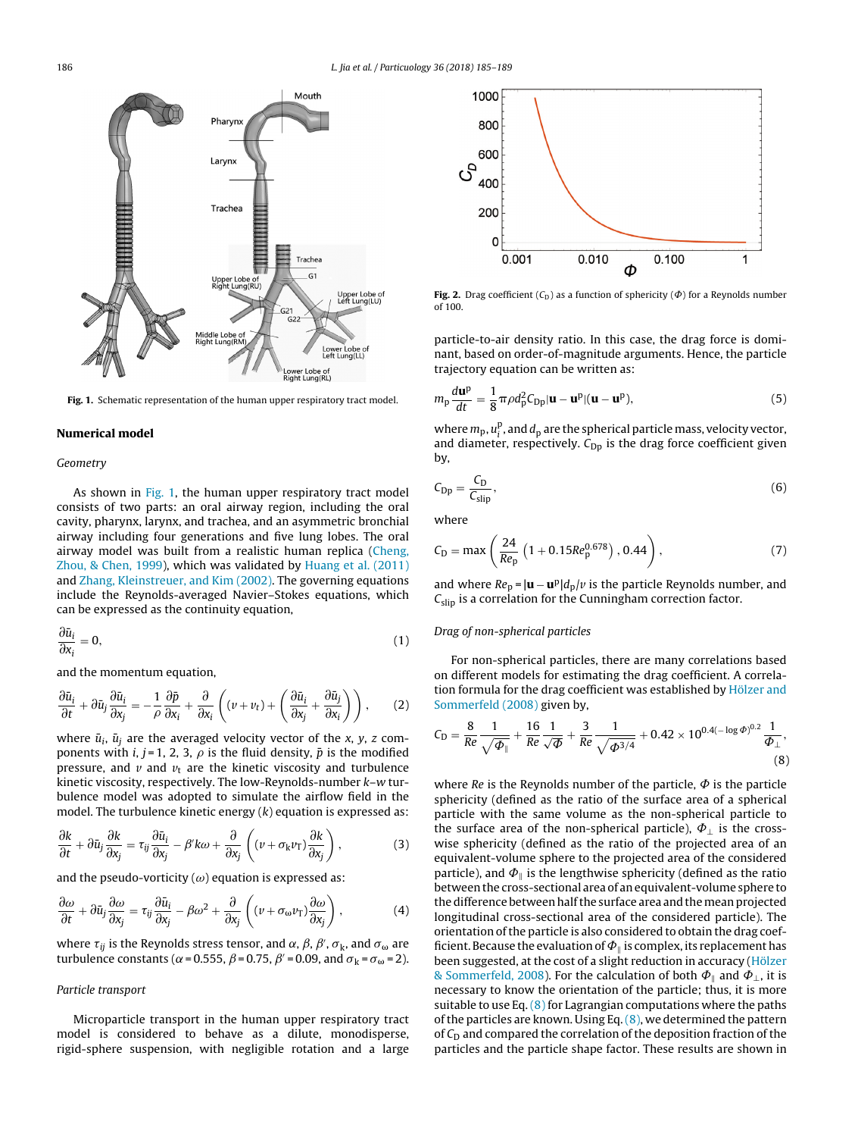

**Fig. 1.** Schematic representation of the human upper respiratory tract model.

#### **Numerical model**

#### Geometry

As shown in Fig. 1, the human upper respiratory tract model consists of two parts: an oral airway region, including the oral cavity, pharynx, larynx, and trachea, and an asymmetric bronchial airway including four generations and five lung lobes. The oral airway model was built from a realistic human replica ([Cheng,](#page--1-0) [Zhou,](#page--1-0) [&](#page--1-0) [Chen,](#page--1-0) [1999\),](#page--1-0) which was validated by [Huang](#page--1-0) et [al.](#page--1-0) [\(2011\)](#page--1-0) and [Zhang,](#page--1-0) [Kleinstreuer,](#page--1-0) [and](#page--1-0) [Kim](#page--1-0) [\(2002\).](#page--1-0) The governing equations include the Reynolds-averaged Navier–Stokes equations, which can be expressed as the continuity equation,

$$
\frac{\partial \bar{u}_i}{\partial x_i} = 0,\tag{1}
$$

and the momentum equation,

$$
\frac{\partial \bar{u}_i}{\partial t} + \partial \bar{u}_j \frac{\partial \bar{u}_i}{\partial x_j} = -\frac{1}{\rho} \frac{\partial \bar{p}}{\partial x_i} + \frac{\partial}{\partial x_i} \left( (v + v_t) + \left( \frac{\partial \bar{u}_i}{\partial x_j} + \frac{\partial \bar{u}_j}{\partial x_i} \right) \right), \tag{2}
$$

where  $\bar{u}_i$ ,  $\bar{u}_j$  are the averaged velocity vector of the x, y, z components with *i*, *j* = 1, 2, 3,  $\rho$  is the fluid density,  $\bar{p}$  is the modified pressure, and  $v$  and  $v_t$  are the kinetic viscosity and turbulence kinetic viscosity, respectively. The low-Reynolds-number k–w turbulence model was adopted to simulate the airflow field in the model. The turbulence kinetic energy  $(k)$  equation is expressed as:

$$
\frac{\partial k}{\partial t} + \partial \bar{u}_j \frac{\partial k}{\partial x_j} = \tau_{ij} \frac{\partial \bar{u}_i}{\partial x_j} - \beta' k \omega + \frac{\partial}{\partial x_j} \left( (\nu + \sigma_k \nu_T) \frac{\partial k}{\partial x_j} \right),\tag{3}
$$

and the pseudo-vorticity  $(\omega)$  equation is expressed as:

$$
\frac{\partial \omega}{\partial t} + \partial \bar{u}_j \frac{\partial \omega}{\partial x_j} = \tau_{ij} \frac{\partial \bar{u}_i}{\partial x_j} - \beta \omega^2 + \frac{\partial}{\partial x_j} \left( (\nu + \sigma_\omega \nu_\text{T}) \frac{\partial \omega}{\partial x_j} \right),\tag{4}
$$

where  $\tau_{ij}$  is the Reynolds stress tensor, and  $\alpha$ ,  $\beta$ ,  $\beta'$ ,  $\sigma_{\rm k}$ , and  $\sigma_{\omega}$  are turbulence constants ( $\alpha$  = 0.555,  $\beta$  = 0.75,  $\beta'$  = 0.09, and  $\sigma_k$  =  $\sigma_\omega$  = 2).

#### Particle transport

Microparticle transport in the human upper respiratory tract model is considered to behave as a dilute, monodisperse, rigid-sphere suspension, with negligible rotation and a large



**Fig. 2.** Drag coefficient  $(C_D)$  as a function of sphericity  $(\Phi)$  for a Reynolds number of 100.

particle-to-air density ratio. In this case, the drag force is dominant, based on order-of-magnitude arguments. Hence, the particle trajectory equation can be written as:

$$
m_{\rm p}\frac{d\mathbf{u}^{\rm p}}{dt} = \frac{1}{8}\pi\rho d_{\rm p}^2 C_{\rm Dp} |\mathbf{u} - \mathbf{u}^{\rm p}| (\mathbf{u} - \mathbf{u}^{\rm p}),\tag{5}
$$

where  $m_{\rm p}, u_{\rm i}^{\rm p}$  , and  $d_{\rm p}$  are the spherical particle mass, velocity vector, and diameter, respectively.  $C_{\text{Dp}}$  is the drag force coefficient given by,

$$
C_{\rm Dp} = \frac{C_{\rm D}}{C_{\rm slip}},\tag{6}
$$

where

$$
C_{\rm D} = \max\left(\frac{24}{Re_{\rm p}}\left(1 + 0.15Re_{\rm p}^{0.678}\right), 0.44\right),\tag{7}
$$

and where  $Re_p = |\mathbf{u} - \mathbf{u}^p| d_p / v$  is the particle Reynolds number, and  $C_{slip}$  is a correlation for the Cunningham correction factor.

#### Drag of non-spherical particles

For non-spherical particles, there are many correlations based on different models for estimating the drag coefficient. A correla-tion formula for the drag coefficient was established by [Hölzer](#page--1-0) [and](#page--1-0) [Sommerfeld](#page--1-0) [\(2008\)](#page--1-0) given by,

$$
C_D = \frac{8}{Re} \frac{1}{\sqrt{\Phi_{\parallel}}} + \frac{16}{Re} \frac{1}{\sqrt{\Phi}} + \frac{3}{Re} \frac{1}{\sqrt{\Phi^{3/4}}} + 0.42 \times 10^{0.4(-\log \Phi)^{0.2}} \frac{1}{\Phi_{\perp}},
$$
(8)

where Re is the Reynolds number of the particle,  $\Phi$  is the particle sphericity (defined as the ratio of the surface area of a spherical particle with the same volume as the non-spherical particle to the surface area of the non-spherical particle),  $\Phi_{\perp}$  is the crosswise sphericity (defined as the ratio of the projected area of an equivalent-volume sphere to the projected area of the considered particle), and  $\Phi_{\parallel}$  is the lengthwise sphericity (defined as the ratio between the cross-sectional area of an equivalent-volume sphere to the difference between half the surface area and the mean projected longitudinal cross-sectional area of the considered particle). The orientation of the particle is also considered to obtain the drag coefficient. Because the evaluation of  $\Phi_{\parallel}$  is complex, its replacement has been suggested, at the cost of a slight reduction in accuracy ([Hölzer](#page--1-0) [&](#page--1-0) [Sommerfeld,](#page--1-0) [2008\).](#page--1-0) For the calculation of both  $\Phi_{\parallel}$  and  $\Phi_{\perp}$ , it is necessary to know the orientation of the particle; thus, it is more suitable to use Eq.  $(8)$  for Lagrangian computations where the paths of the particles are known. Using Eq.  $(8)$ , we determined the pattern of  $C_D$  and compared the correlation of the deposition fraction of the particles and the particle shape factor. These results are shown in